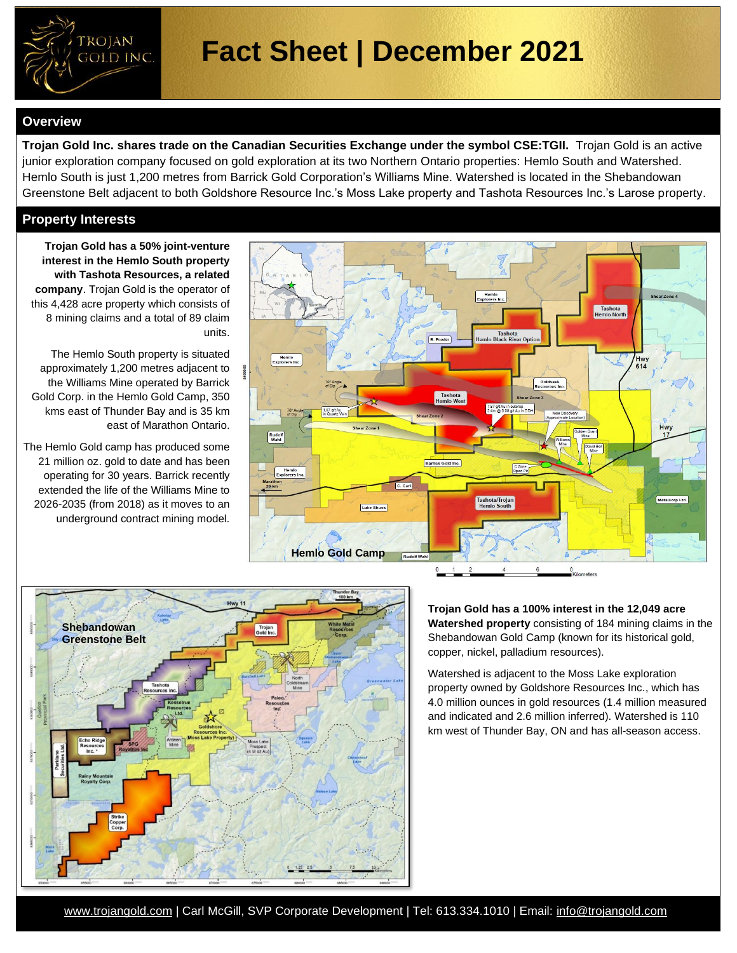

## **Overview**

**Trojan Gold Inc. shares trade on the Canadian Securities Exchange under the symbol CSE:TGII.** Trojan Gold is an active junior exploration company focused on gold exploration at its two Northern Ontario properties: Hemlo South and Watershed. Hemlo South is just 1,200 metres from Barrick Gold Corporation's Williams Mine. Watershed is located in the Shebandowan Greenstone Belt adjacent to both Goldshore Resource Inc.'s Moss Lake property and Tashota Resources Inc.'s Larose property.

### **Property Interests**

**Trojan Gold has a 50% joint-venture interest in the Hemlo South property with Tashota Resources, a related company**. Trojan Gold is the operator of this 4,428 acre property which consists of 8 mining claims and a total of 89 claim units.

The Hemlo South property is situated approximately 1,200 metres adjacent to the Williams Mine operated by Barrick Gold Corp. in the Hemlo Gold Camp, 350 kms east of Thunder Bay and is 35 km east of Marathon Ontario.

The Hemlo Gold camp has produced some 21 million oz. gold to date and has been operating for 30 years. Barrick recently extended the life of the Williams Mine to 2026-2035 (from 2018) as it moves to an underground contract mining model.





### **Trojan Gold has a 100% interest in the 12,049 acre Watershed property** consisting of 184 mining claims in the Shebandowan Gold Camp (known for its historical gold, copper, nickel, palladium resources).

Watershed is adjacent to the Moss Lake exploration property owned by Goldshore Resources Inc., which has 4.0 million ounces in gold resources (1.4 million measured and indicated and 2.6 million inferred). Watershed is 110 km west of Thunder Bay, ON and has all-season access.